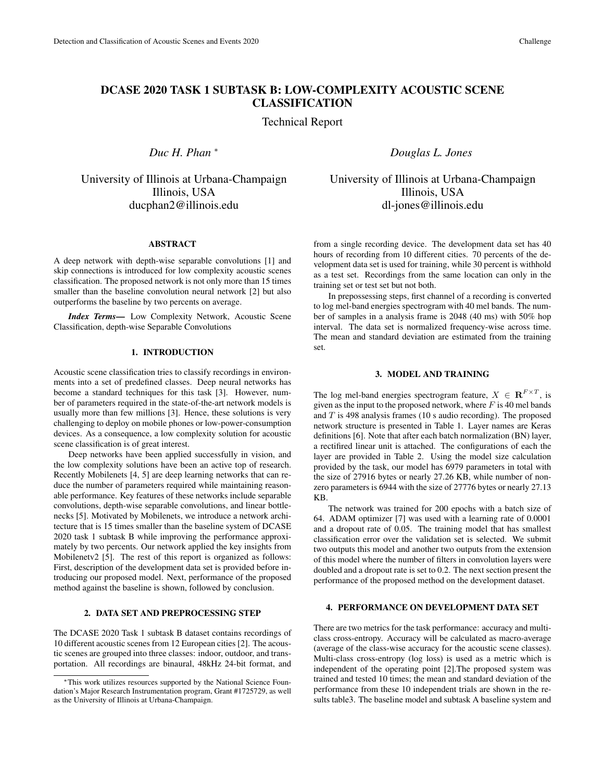# DCASE 2020 TASK 1 SUBTASK B: LOW-COMPLEXITY ACOUSTIC SCENE **CLASSIFICATION**

Technical Report

*Duc H. Phan* <sup>∗</sup>

University of Illinois at Urbana-Champaign Illinois, USA ducphan2@illinois.edu

## ABSTRACT

A deep network with depth-wise separable convolutions [1] and skip connections is introduced for low complexity acoustic scenes classification. The proposed network is not only more than 15 times smaller than the baseline convolution neural network [2] but also outperforms the baseline by two percents on average.

*Index Terms*— Low Complexity Network, Acoustic Scene Classification, depth-wise Separable Convolutions

# 1. INTRODUCTION

Acoustic scene classification tries to classify recordings in environments into a set of predefined classes. Deep neural networks has become a standard techniques for this task [3]. However, number of parameters required in the state-of-the-art network models is usually more than few millions [3]. Hence, these solutions is very challenging to deploy on mobile phones or low-power-consumption devices. As a consequence, a low complexity solution for acoustic scene classification is of great interest.

Deep networks have been applied successfully in vision, and the low complexity solutions have been an active top of research. Recently Mobilenets [4, 5] are deep learning networks that can reduce the number of parameters required while maintaining reasonable performance. Key features of these networks include separable convolutions, depth-wise separable convolutions, and linear bottlenecks [5]. Motivated by Mobilenets, we introduce a network architecture that is 15 times smaller than the baseline system of DCASE 2020 task 1 subtask B while improving the performance approximately by two percents. Our network applied the key insights from Mobilenetv2 [5]. The rest of this report is organized as follows: First, description of the development data set is provided before introducing our proposed model. Next, performance of the proposed method against the baseline is shown, followed by conclusion.

# 2. DATA SET AND PREPROCESSING STEP

The DCASE 2020 Task 1 subtask B dataset contains recordings of 10 different acoustic scenes from 12 European cities [2]. The acoustic scenes are grouped into three classes: indoor, outdoor, and transportation. All recordings are binaural, 48kHz 24-bit format, and *Douglas L. Jones*

University of Illinois at Urbana-Champaign Illinois, USA dl-jones@illinois.edu

from a single recording device. The development data set has 40 hours of recording from 10 different cities. 70 percents of the development data set is used for training, while 30 percent is withhold as a test set. Recordings from the same location can only in the training set or test set but not both.

In prepossessing steps, first channel of a recording is converted to log mel-band energies spectrogram with 40 mel bands. The number of samples in a analysis frame is 2048 (40 ms) with 50% hop interval. The data set is normalized frequency-wise across time. The mean and standard deviation are estimated from the training set.

#### 3. MODEL AND TRAINING

The log mel-band energies spectrogram feature,  $X \in \mathbb{R}^{F \times T}$ , is given as the input to the proposed network, where  $F$  is 40 mel bands and  $T$  is 498 analysis frames (10 s audio recording). The proposed network structure is presented in Table 1. Layer names are Keras definitions [6]. Note that after each batch normalization (BN) layer, a rectifired linear unit is attached. The configurations of each the layer are provided in Table 2. Using the model size calculation provided by the task, our model has 6979 parameters in total with the size of 27916 bytes or nearly 27.26 KB, while number of nonzero parameters is 6944 with the size of 27776 bytes or nearly 27.13 KB.

The network was trained for 200 epochs with a batch size of 64. ADAM optimizer [7] was used with a learning rate of 0.0001 and a dropout rate of 0.05. The training model that has smallest classification error over the validation set is selected. We submit two outputs this model and another two outputs from the extension of this model where the number of filters in convolution layers were doubled and a dropout rate is set to 0.2. The next section present the performance of the proposed method on the development dataset.

## 4. PERFORMANCE ON DEVELOPMENT DATA SET

There are two metrics for the task performance: accuracy and multiclass cross-entropy. Accuracy will be calculated as macro-average (average of the class-wise accuracy for the acoustic scene classes). Multi-class cross-entropy (log loss) is used as a metric which is independent of the operating point [2].The proposed system was trained and tested 10 times; the mean and standard deviation of the performance from these 10 independent trials are shown in the results table3. The baseline model and subtask A baseline system and

<sup>∗</sup>This work utilizes resources supported by the National Science Foundation's Major Research Instrumentation program, Grant #1725729, as well as the University of Illinois at Urbana-Champaign.